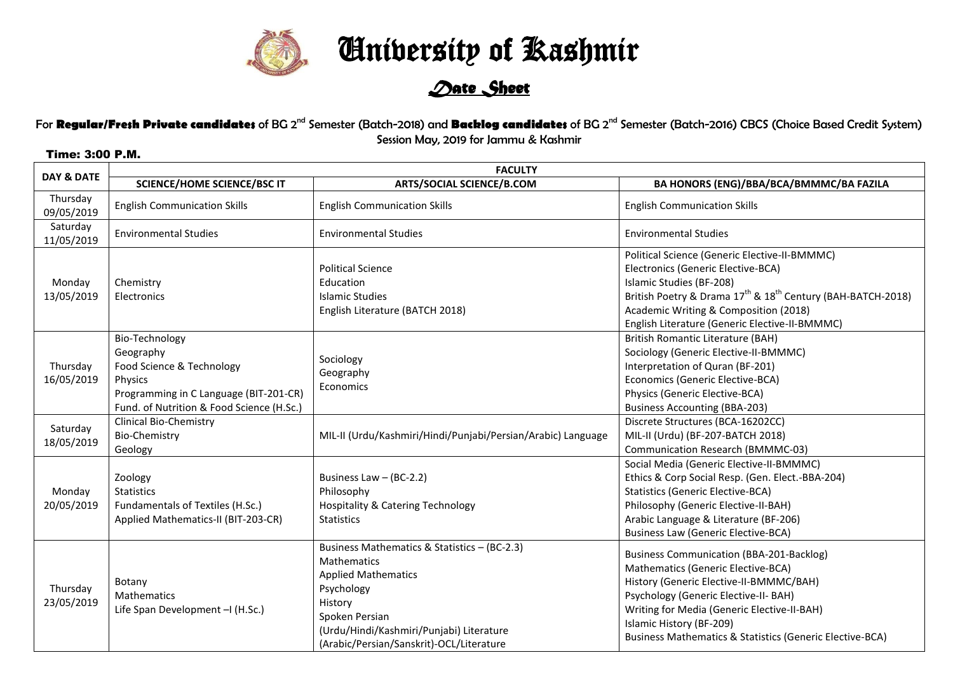

University of Kashmir

## *Date Sheet*

For **Regular/Fresh Private candidates** of BG 2<sup>nd</sup> Semester (Batch-2018) and **Backlog candidates** of BG 2<sup>nd</sup> Semester (Batch-2016) CBCS (Choice Based Credit System) Session May, 2019 for Jammu & Kashmir

## Time: 3:00 P.M.

| DAY & DATE             | <b>FACULTY</b>                                                                                                                                             |                                                                                                                                                                                                                                     |                                                                                                                                                                                                                                                                                                                             |  |
|------------------------|------------------------------------------------------------------------------------------------------------------------------------------------------------|-------------------------------------------------------------------------------------------------------------------------------------------------------------------------------------------------------------------------------------|-----------------------------------------------------------------------------------------------------------------------------------------------------------------------------------------------------------------------------------------------------------------------------------------------------------------------------|--|
|                        | <b>SCIENCE/HOME SCIENCE/BSC IT</b>                                                                                                                         | <b>ARTS/SOCIAL SCIENCE/B.COM</b>                                                                                                                                                                                                    | BA HONORS (ENG)/BBA/BCA/BMMMC/BA FAZILA                                                                                                                                                                                                                                                                                     |  |
| Thursday<br>09/05/2019 | <b>English Communication Skills</b>                                                                                                                        | <b>English Communication Skills</b>                                                                                                                                                                                                 | <b>English Communication Skills</b>                                                                                                                                                                                                                                                                                         |  |
| Saturday<br>11/05/2019 | <b>Environmental Studies</b>                                                                                                                               | <b>Environmental Studies</b>                                                                                                                                                                                                        | <b>Environmental Studies</b>                                                                                                                                                                                                                                                                                                |  |
| Monday<br>13/05/2019   | Chemistry<br>Electronics                                                                                                                                   | <b>Political Science</b><br>Education<br>Islamic Studies<br>English Literature (BATCH 2018)                                                                                                                                         | Political Science (Generic Elective-II-BMMMC)<br>Electronics (Generic Elective-BCA)<br>Islamic Studies (BF-208)<br>British Poetry & Drama 17 <sup>th</sup> & 18 <sup>th</sup> Century (BAH-BATCH-2018)<br>Academic Writing & Composition (2018)<br>English Literature (Generic Elective-II-BMMMC)                           |  |
| Thursday<br>16/05/2019 | Bio-Technology<br>Geography<br>Food Science & Technology<br>Physics<br>Programming in C Language (BIT-201-CR)<br>Fund. of Nutrition & Food Science (H.Sc.) | Sociology<br>Geography<br>Economics                                                                                                                                                                                                 | <b>British Romantic Literature (BAH)</b><br>Sociology (Generic Elective-II-BMMMC)<br>Interpretation of Quran (BF-201)<br>Economics (Generic Elective-BCA)<br>Physics (Generic Elective-BCA)<br><b>Business Accounting (BBA-203)</b>                                                                                         |  |
| Saturday<br>18/05/2019 | <b>Clinical Bio-Chemistry</b><br><b>Bio-Chemistry</b><br>Geology                                                                                           | MIL-II (Urdu/Kashmiri/Hindi/Punjabi/Persian/Arabic) Language                                                                                                                                                                        | Discrete Structures (BCA-16202CC)<br>MIL-II (Urdu) (BF-207-BATCH 2018)<br>Communication Research (BMMMC-03)                                                                                                                                                                                                                 |  |
| Monday<br>20/05/2019   | Zoology<br><b>Statistics</b><br>Fundamentals of Textiles (H.Sc.)<br>Applied Mathematics-II (BIT-203-CR)                                                    | Business Law $-$ (BC-2.2)<br>Philosophy<br><b>Hospitality &amp; Catering Technology</b><br><b>Statistics</b>                                                                                                                        | Social Media (Generic Elective-II-BMMMC)<br>Ethics & Corp Social Resp. (Gen. Elect.-BBA-204)<br><b>Statistics (Generic Elective-BCA)</b><br>Philosophy (Generic Elective-II-BAH)<br>Arabic Language & Literature (BF-206)<br><b>Business Law (Generic Elective-BCA)</b>                                                     |  |
| Thursday<br>23/05/2019 | Botany<br>Mathematics<br>Life Span Development - (H.Sc.)                                                                                                   | Business Mathematics & Statistics - (BC-2.3)<br><b>Mathematics</b><br><b>Applied Mathematics</b><br>Psychology<br>History<br>Spoken Persian<br>(Urdu/Hindi/Kashmiri/Punjabi) Literature<br>(Arabic/Persian/Sanskrit)-OCL/Literature | <b>Business Communication (BBA-201-Backlog)</b><br>Mathematics (Generic Elective-BCA)<br>History (Generic Elective-II-BMMMC/BAH)<br>Psychology (Generic Elective-II- BAH)<br>Writing for Media (Generic Elective-II-BAH)<br>Islamic History (BF-209)<br><b>Business Mathematics &amp; Statistics (Generic Elective-BCA)</b> |  |